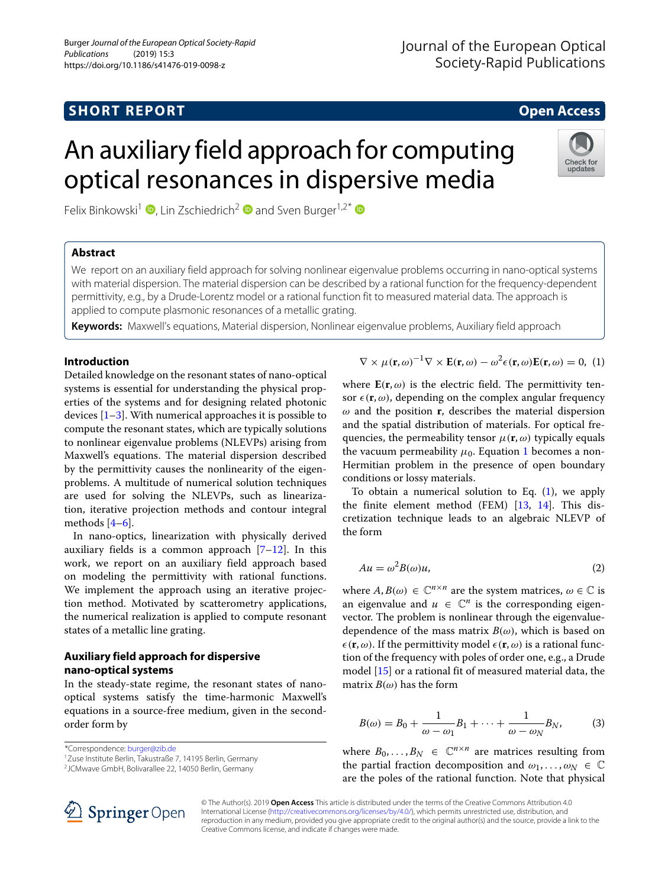# **SHORT REPORT CONSUMING THE REPORT OPEN ACCESS**

# An auxiliary field approach for computing optical resonances in dispersive media

Felix Binkowski<sup>1</sup> **D**[,](http://orcid.org/0000-0002-4728-8887) Lin Zschiedrich<sup>2</sup> **D** and Sven Burger<sup>1,2\*</sup> **D** 

# **Abstract**

We report on an auxiliary field approach for solving nonlinear eigenvalue problems occurring in nano-optical systems with material dispersion. The material dispersion can be described by a rational function for the frequency-dependent permittivity, e.g., by a Drude-Lorentz model or a rational function fit to measured material data. The approach is applied to compute plasmonic resonances of a metallic grating.

**Keywords:** Maxwell's equations, Material dispersion, Nonlinear eigenvalue problems, Auxiliary field approach

# **Introduction**

Detailed knowledge on the resonant states of nano-optical systems is essential for understanding the physical properties of the systems and for designing related photonic devices  $[1-3]$  $[1-3]$ . With numerical approaches it is possible to compute the resonant states, which are typically solutions to nonlinear eigenvalue problems (NLEVPs) arising from Maxwell's equations. The material dispersion described by the permittivity causes the nonlinearity of the eigenproblems. A multitude of numerical solution techniques are used for solving the NLEVPs, such as linearization, iterative projection methods and contour integral methods  $[4-6]$  $[4-6]$ .

In nano-optics, linearization with physically derived auxiliary fields is a common approach  $[7-12]$  $[7-12]$ . In this work, we report on an auxiliary field approach based on modeling the permittivity with rational functions. We implement the approach using an iterative projection method. Motivated by scatterometry applications, the numerical realization is applied to compute resonant states of a metallic line grating.

# **Auxiliary field approach for dispersive nano-optical systems**

In the steady-state regime, the resonant states of nanooptical systems satisfy the time-harmonic Maxwell's equations in a source-free medium, given in the secondorder form by

\*Correspondence: [burger@zib.de](mailto: burger@zib.de)

1Zuse Institute Berlin, Takustraße 7, 14195 Berlin, Germany

2JCMwave GmbH, Bolivarallee 22, 14050 Berlin, Germany

 $\nabla \times \mu(\mathbf{r}, \omega)^{-1} \nabla \times \mathbf{E}(\mathbf{r}, \omega) - \omega^2 \epsilon(\mathbf{r}, \omega) \mathbf{E}(\mathbf{r}, \omega) = 0$ , (1)

where  $E(\mathbf{r}, \omega)$  is the electric field. The permittivity tensor  $\epsilon(\mathbf{r}, \omega)$ , depending on the complex angular frequency  $\omega$  and the position **r**, describes the material dispersion and the spatial distribution of materials. For optical frequencies, the permeability tensor  $\mu(\mathbf{r}, \omega)$  typically equals the vacuum permeability  $\mu_0$ . Equation [1](#page-0-0) becomes a non-Hermitian problem in the presence of open boundary conditions or lossy materials.

To obtain a numerical solution to Eq.  $(1)$ , we apply the finite element method (FEM) [\[13,](#page-3-6) [14\]](#page-3-7). This discretization technique leads to an algebraic NLEVP of the form

<span id="page-0-2"></span>
$$
Au = \omega^2 B(\omega)u,\tag{2}
$$

where  $A, B(\omega) \in \mathbb{C}^{n \times n}$  are the system matrices,  $\omega \in \mathbb{C}$  is an eigenvalue and  $u \in \mathbb{C}^n$  is the corresponding eigenvector. The problem is nonlinear through the eigenvaluedependence of the mass matrix  $B(\omega)$ , which is based on  $\epsilon(\mathbf{r}, \omega)$ . If the permittivity model  $\epsilon(\mathbf{r}, \omega)$  is a rational function of the frequency with poles of order one, e.g., a Drude model [\[15\]](#page-3-8) or a rational fit of measured material data, the matrix  $B(\omega)$  has the form

<span id="page-0-1"></span>
$$
B(\omega) = B_0 + \frac{1}{\omega - \omega_1} B_1 + \dots + \frac{1}{\omega - \omega_N} B_N,
$$
 (3)

where  $B_0, \ldots, B_N \in \mathbb{C}^{n \times n}$  are matrices resulting from the partial fraction decomposition and  $\omega_1, \ldots, \omega_N \in \mathbb{C}$ are the poles of the rational function. Note that physical



© The Author(s). 2019 **Open Access** This article is distributed under the terms of the Creative Commons Attribution 4.0 International License [\(http://creativecommons.org/licenses/by/4.0/\)](http://creativecommons.org/licenses/by/4.0/), which permits unrestricted use, distribution, and reproduction in any medium, provided you give appropriate credit to the original author(s) and the source, provide a link to the Creative Commons license, and indicate if changes were made.

<span id="page-0-0"></span>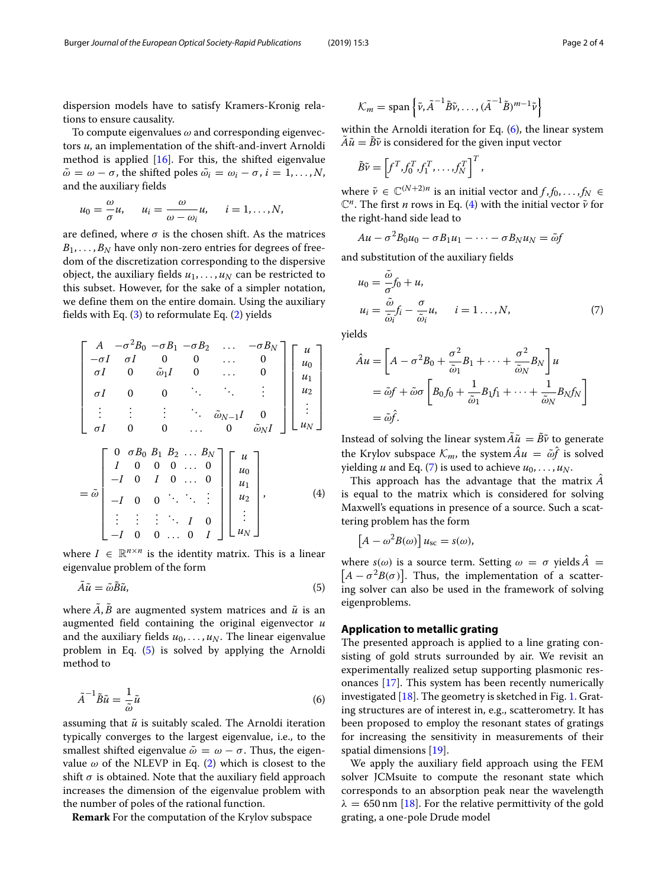dispersion models have to satisfy Kramers-Kronig relations to ensure causality.

To compute eigenvalues  $\omega$  and corresponding eigenvectors *u*, an implementation of the shift-and-invert Arnoldi method is applied  $[16]$ . For this, the shifted eigenvalue  $\tilde{\omega} = \omega - \sigma$ , the shifted poles  $\tilde{\omega_i} = \omega_i - \sigma$ ,  $i = 1, \dots, N$ , and the auxiliary fields

$$
u_0=\frac{\omega}{\sigma}u, \quad u_i=\frac{\omega}{\omega-\omega_i}u, \quad i=1,\ldots,N,
$$

are defined, where  $\sigma$  is the chosen shift. As the matrices  $B_1, \ldots, B_N$  have only non-zero entries for degrees of freedom of the discretization corresponding to the dispersive object, the auxiliary fields  $u_1, \ldots, u_N$  can be restricted to this subset. However, for the sake of a simpler notation, we define them on the entire domain. Using the auxiliary fields with Eq.  $(3)$  to reformulate Eq.  $(2)$  yields

<span id="page-1-2"></span>
$$
\begin{bmatrix}\nA & -\sigma^2 B_0 & -\sigma B_1 & -\sigma B_2 & \dots & -\sigma B_N \\
-\sigma I & \sigma I & 0 & 0 & \dots & 0 \\
\sigma I & 0 & \tilde{\omega}_1 I & 0 & \dots & 0 \\
\sigma I & 0 & 0 & \ddots & \ddots & \vdots \\
\vdots & \vdots & \vdots & \ddots & \tilde{\omega}_{N-1} I & 0 \\
\sigma I & 0 & 0 & \dots & 0 & \tilde{\omega}_N I\n\end{bmatrix}\n\begin{bmatrix}\nu \\
u_0 \\
u_1 \\
u_2 \\
\vdots \\
u_N\n\end{bmatrix}
$$
\n
$$
= \tilde{\omega}\n\begin{bmatrix}\n0 & \sigma B_0 B_1 B_2 \dots B_N \\
I & 0 & 0 & \dots & 0 \\
-I & 0 & I & 0 & \dots & 0 \\
-I & 0 & 0 & \ddots & \ddots & \vdots \\
\vdots & \vdots & \vdots & \ddots & I & 0 \\
-I & 0 & 0 & \dots & 0 & I\n\end{bmatrix}\n\begin{bmatrix}\nu \\
u_0 \\
u_1 \\
u_2 \\
u_2 \\
\vdots \\
u_N\n\end{bmatrix},
$$
\n(4)

where  $I \in \mathbb{R}^{n \times n}$  is the identity matrix. This is a linear eigenvalue problem of the form

$$
\tilde{A}\tilde{u} = \tilde{\omega}\tilde{B}\tilde{u},\tag{5}
$$

where  $\overline{A}$ ,  $\overline{B}$  are augmented system matrices and  $\tilde{u}$  is an augmented field containing the original eigenvector *u* and the auxiliary fields  $u_0, \ldots, u_N$ . The linear eigenvalue problem in Eq. [\(5\)](#page-1-0) is solved by applying the Arnoldi method to

$$
\tilde{A}^{-1}\tilde{B}\tilde{u} = \frac{1}{\tilde{\omega}}\tilde{u}
$$
\n(6)

assuming that  $\tilde{u}$  is suitably scaled. The Arnoldi iteration typically converges to the largest eigenvalue, i.e., to the smallest shifted eigenvalue  $\tilde{\omega} = \omega - \sigma$ . Thus, the eigenvalue  $\omega$  of the NLEVP in Eq. [\(2\)](#page-0-2) which is closest to the shift  $\sigma$  is obtained. Note that the auxiliary field approach increases the dimension of the eigenvalue problem with the number of poles of the rational function.

**Remark** For the computation of the Krylov subspace

$$
\mathcal{K}_m = \text{span}\left\{\tilde{\nu}, \tilde{A}^{-1} \tilde{B} \tilde{\nu}, \dots, (\tilde{A}^{-1} \tilde{B})^{m-1} \tilde{\nu}\right\}
$$

within the Arnoldi iteration for Eq.  $(6)$ , the linear system  $\tilde{A}\tilde{u} = \tilde{B}\tilde{v}$  is considered for the given input vector

$$
\tilde{B}\tilde{\nu} = \left[f^T, f_0^T, f_1^T, \dots, f_N^T\right]^T,
$$

where  $\tilde{v} \in \mathbb{C}^{(N+2)n}$  is an initial vector and  $f, f_0, \ldots, f_N \in$  $\mathbb{C}^n$ . The first *n* rows in Eq. [\(4\)](#page-1-2) with the initial vector  $\tilde{v}$  for the right-hand side lead to

$$
Au - \sigma^2 B_0 u_0 - \sigma B_1 u_1 - \cdots - \sigma B_N u_N = \tilde{\omega} f
$$

and substitution of the auxiliary fields

<span id="page-1-3"></span>
$$
u_0 = \frac{\tilde{\omega}}{\sigma} f_0 + u,
$$
  
\n
$$
u_i = \frac{\tilde{\omega}}{\tilde{\omega}_i} f_i - \frac{\sigma}{\tilde{\omega}_i} u, \quad i = 1...,N,
$$
\n(7)

yields

$$
\hat{A}u = \left[A - \sigma^2 B_0 + \frac{\sigma^2}{\tilde{\omega}_1} B_1 + \dots + \frac{\sigma^2}{\tilde{\omega}_N} B_N\right]u
$$
  
=  $\tilde{\omega}f + \tilde{\omega}\sigma \left[B_0 f_0 + \frac{1}{\tilde{\omega}_1} B_1 f_1 + \dots + \frac{1}{\tilde{\omega}_N} B_N f_N\right]$   
=  $\tilde{\omega}\hat{f}$ .

Instead of solving the linear system  $\tilde{A}\tilde{u} = \tilde{B}\tilde{v}$  to generate the Krylov subspace  $\mathcal{K}_m$ , the system  $Au = \tilde{\omega}f$  is solved yielding *u* and Eq. [\(7\)](#page-1-3) is used to achieve  $u_0, \ldots, u_N$ .

This approach has the advantage that the matrix *A*ˆ is equal to the matrix which is considered for solving Maxwell's equations in presence of a source. Such a scattering problem has the form

$$
[A - \omega^2 B(\omega)] u_{\rm sc} = s(\omega),
$$

<span id="page-1-0"></span>where  $s(\omega)$  is a source term. Setting  $\omega = \sigma$  yields  $A = [A - \sigma^2 B(\sigma)]$ . Thus, the implementation of a scattering solver can also be used in the framework of solving eigenproblems.

## **Application to metallic grating**

<span id="page-1-1"></span>The presented approach is applied to a line grating consisting of gold struts surrounded by air. We revisit an experimentally realized setup supporting plasmonic resonances [\[17\]](#page-3-10). This system has been recently numerically investigated [\[18\]](#page-3-11). The geometry is sketched in Fig. [1.](#page-2-0) Grating structures are of interest in, e.g., scatterometry. It has been proposed to employ the resonant states of gratings for increasing the sensitivity in measurements of their spatial dimensions [\[19\]](#page-3-12).

We apply the auxiliary field approach using the FEM solver JCMsuite to compute the resonant state which corresponds to an absorption peak near the wavelength  $\lambda = 650$  nm [\[18\]](#page-3-11). For the relative permittivity of the gold grating, a one-pole Drude model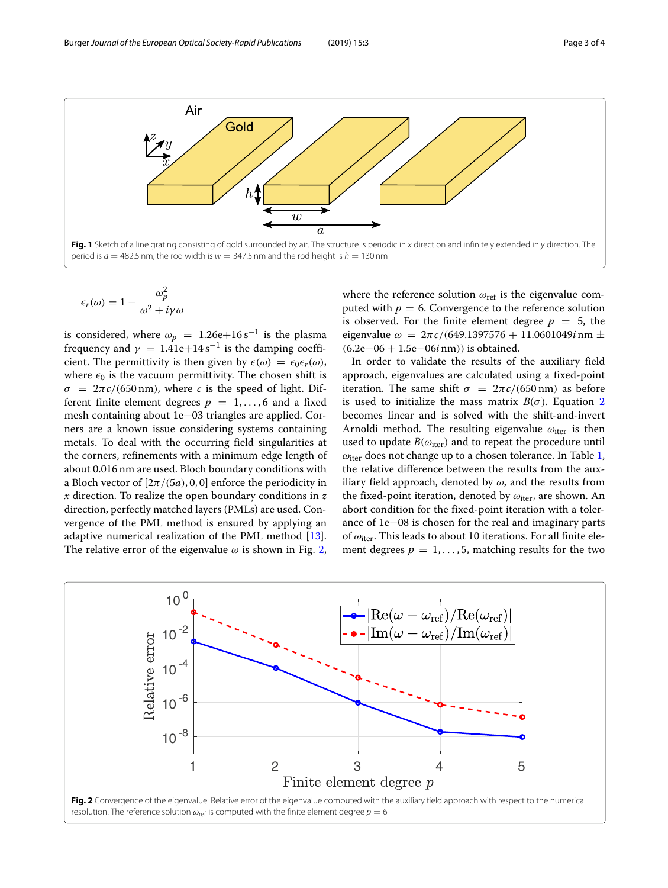

<span id="page-2-0"></span>
$$
\epsilon_r(\omega) = 1 - \frac{\omega_p^2}{\omega^2 + i\gamma\omega}
$$

is considered, where  $\omega_p = 1.26e + 16 s^{-1}$  is the plasma frequency and  $\gamma = 1.41e+14s^{-1}$  is the damping coefficient. The permittivity is then given by  $\epsilon(\omega) = \epsilon_0 \epsilon_r(\omega)$ , where  $\epsilon_0$  is the vacuum permittivity. The chosen shift is  $\sigma = 2\pi c/(650 \text{ nm})$ , where *c* is the speed of light. Different finite element degrees  $p = 1, \ldots, 6$  and a fixed mesh containing about 1e+03 triangles are applied. Corners are a known issue considering systems containing metals. To deal with the occurring field singularities at the corners, refinements with a minimum edge length of about 0.016 nm are used. Bloch boundary conditions with a Bloch vector of  $[2\pi/(5a), 0, 0]$  enforce the periodicity in *x* direction. To realize the open boundary conditions in *z* direction, perfectly matched layers (PMLs) are used. Convergence of the PML method is ensured by applying an adaptive numerical realization of the PML method [\[13\]](#page-3-6). The relative error of the eigenvalue  $\omega$  is shown in Fig. [2,](#page-2-1)

where the reference solution  $\omega_{ref}$  is the eigenvalue computed with  $p = 6$ . Convergence to the reference solution is observed. For the finite element degree  $p = 5$ , the eigenvalue  $\omega = 2\pi c/(649.1397576 + 11.0601049i \text{ nm} \pm$ (6.2e−06 + 1.5e−06*i* nm)) is obtained.

In order to validate the results of the auxiliary field approach, eigenvalues are calculated using a fixed-point iteration. The same shift  $\sigma = 2\pi c/(650 \text{ nm})$  as before is used to initialize the mass matrix  $B(\sigma)$ . Equation [2](#page-0-2) becomes linear and is solved with the shift-and-invert Arnoldi method. The resulting eigenvalue  $\omega_{\text{iter}}$  is then used to update  $B(\omega_{\text{iter}})$  and to repeat the procedure until  $\omega_{\text{iter}}$  does not change up to a chosen tolerance. In Table [1,](#page-3-13) the relative difference between the results from the auxiliary field approach, denoted by  $\omega$ , and the results from the fixed-point iteration, denoted by  $\omega_{\text{iter}}$ , are shown. An abort condition for the fixed-point iteration with a tolerance of 1e−08 is chosen for the real and imaginary parts of  $\omega_{\text{iter}}$ . This leads to about 10 iterations. For all finite element degrees  $p = 1, \ldots, 5$ , matching results for the two

<span id="page-2-1"></span>